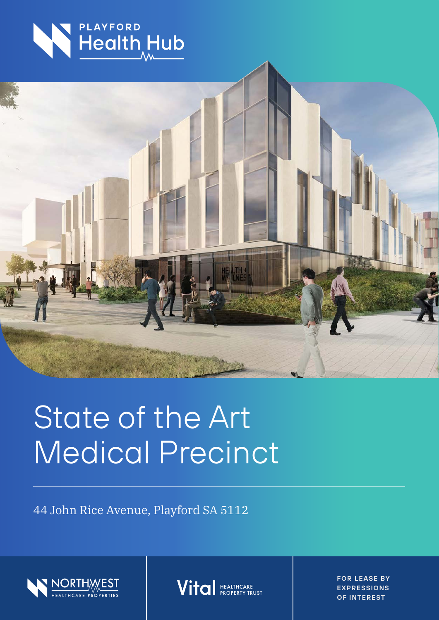



# State of the Art Medical Precinct

44 John Rice Avenue, Playford SA 5112





**FOR LEASE BY EXPRESSIONS OF INTEREST**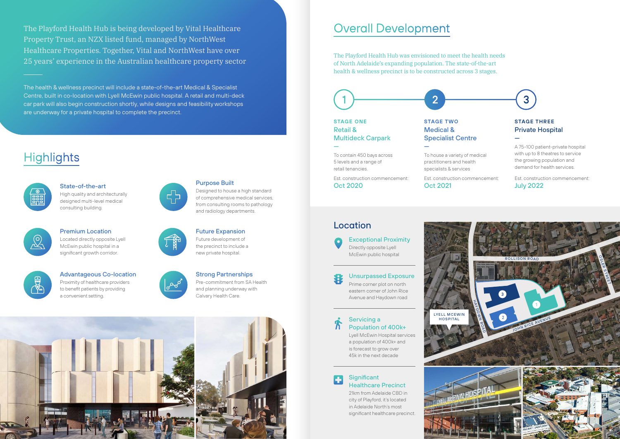The Playford Health Hub is being developed by Vital Healthcare Property Trust, an NZX listed fund, managed by NorthWest Healthcare Properties. Together, Vital and NorthWest have over 25 years' experience in the Australian healthcare property sector

The health & wellness precinct will include a state-of-the-art Medical & Specialist Centre, built in co-location with Lyell McEwin public hospital. A retail and multi-deck car park will also begin construction shortly, while designs and feasibility workshops are underway for a private hospital to complete the precinct.

## **Highlights**

### **Significant** Healthcare Precinct

Exceptional Proximity Directly opposite Lyell McEwin public hospital

#### Unsurpassed Exposure

Prime corner plot on north eastern corner of John Rice Avenue and Haydown road

Servicing a Population of 400k+

 $\mathbf n$ 

F.



Lyell McEwin Hospital services a population of 400k+ and is forecast to grow over 45k in the next decade





21km from Adelaide CBD in city of Playford, it's located in Adelaide North's most significant healthcare precinct.



State-of-the-art High quality and architecturally designed multi-level medical

consulting building.

Purpose Built

Designed to house a high standard of comprehensive medical services, from consulting rooms to pathology

and radiology departments.

#### Premium Location Located directly opposite Lyell McEwin public hospital in a significant growth corridor.





Future Expansion Future development of the precinct to include a new private hospital.



### Advantageous Co-location

Proximity of healthcare providers to benefit patients by providing a convenient setting.





## Strong Partnerships



The Playford Health Hub was envisioned to meet the health needs of North Adelaide's expanding population. The state-of-the-art health & wellness precinct is to be constructed across 3 stages.

## Overall Development

## Private Hospital

—

A 75-100 patient-private hospital with up to 8 theatres to service the growing population and demand for health services.

Est. construction commencement: July 2022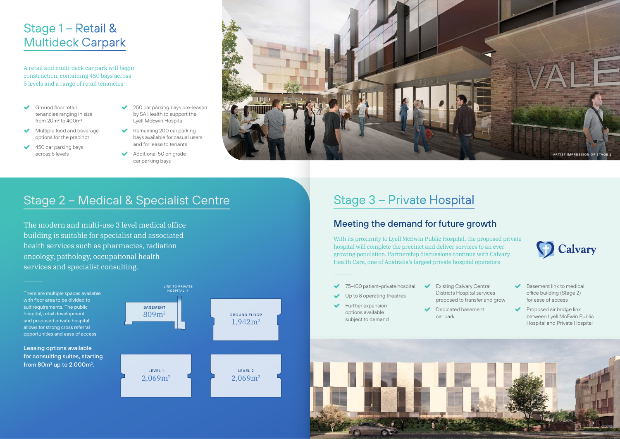## Stage 1 – Retail & Multideck Carpark

- 75–100 patient-private hospital
- Up to 8 operating theatres
- Further expansion options available subject to demand
- Existing Calvary Central Districts Hospital services
- Dedicated basement car park





 $\blacktriangleright$  Basement link to medical office building (Stage 2) for ease of access

Proposed air bridge link between Lyell McEwin Public Hospital and Private Hospital

proposed to transfer and grow

- Ground floor retail tenancies ranging in size from 20m2 to 400m2
- Multiple food and beverage options for the precinct
- $\triangleleft$  450 car parking bays across 5 levels
- ◆ 250 car parking bays pre-leased by SA Health to support the Lyell McEwin Hospital
- $\blacktriangleright$  Remaining 200 car parking bays available for casual users and for lease to tenants
- Additional 50 on grade car parking bays

With its proximity to Lyell McEwin Public Hospital, the proposed private hospital will complete the precinct and deliver services to an ever growing population. Partnership discussions continue with Calvary Health Care, one of Australia's largest private hospital operators

A retail and multi-deck car park will begin construction, containing 450 bays across 5 levels and a range of retail tenancies.

## Stage 3 – Private Hospital

### The modern and multi-use 3 level medical office and matches of the Meeting the demand for future growth

building is suitable for specialist and associated health services such as pharmacies, radiation oncology, pathology, occupational health services and specialist consulting.

## Stage 2 – Medical & Specialist Centre